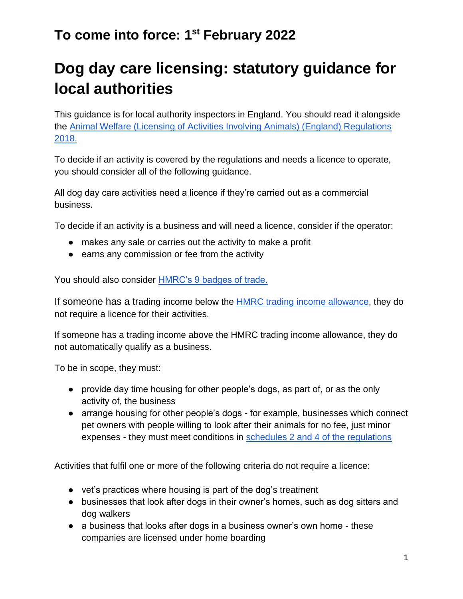# **Dog day care licensing: statutory guidance for local authorities**

This guidance is for local authority inspectors in England. You should read it alongside the [Animal Welfare \(Licensing of Activities Involving Animals\) \(England\) Regulations](https://www.legislation.gov.uk/uksi/2018/486/schedule/4/made)  [2018.](https://www.legislation.gov.uk/uksi/2018/486/schedule/4/made)

To decide if an activity is covered by the regulations and needs a licence to operate, you should consider all of the following guidance.

All dog day care activities need a licence if they're carried out as a commercial business.

To decide if an activity is a business and will need a licence, consider if the operator:

- makes any sale or carries out the activity to make a profit
- earns any commission or fee from the activity

You should also consider [HMRC's 9 badges of trade.](https://www.gov.uk/hmrc-internal-manuals/business-income-manual/bim20205)

If someone has a trading income below th[e](https://www.gov.uk/guidance/tax-free-allowances-on-property-and-trading-income#trade) [HMRC trading income allowance,](https://www.gov.uk/guidance/tax-free-allowances-on-property-and-trading-income#trade) they do not require a licence for their activities.

If someone has a trading income above the HMRC trading income allowance, they do not automatically qualify as a business.

To be in scope, they must:

- provide day time housing for other people's dogs, as part of, or as the only activity of, the business
- arrange housing for other people's dogs for example, businesses which connect pet owners with people willing to look after their animals for no fee, just minor expenses - they must meet conditions in [schedules 2 and 4 of the regulations](https://www.legislation.gov.uk/uksi/2018/486/schedule/2/made)

Activities that fulfil one or more of the following criteria do not require a licence:

- vet's practices where housing is part of the dog's treatment
- businesses that look after dogs in their owner's homes, such as dog sitters and dog walkers
- a business that looks after dogs in a business owner's own home these companies are licensed under home boarding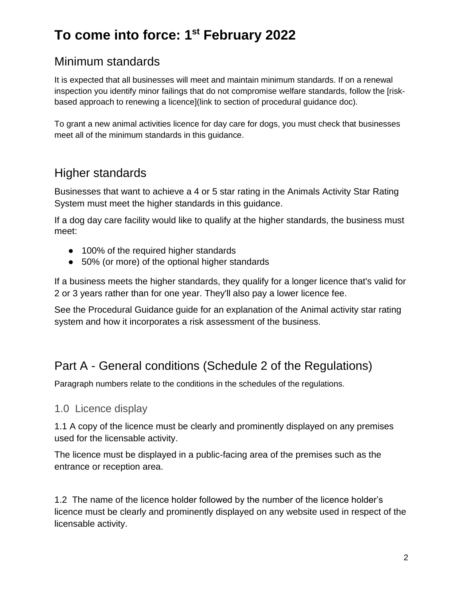#### Minimum standards

It is expected that all businesses will meet and maintain minimum standards. If on a renewal inspection you identify minor failings that do not compromise welfare standards, follow the [riskbased approach to renewing a licence](link to section of procedural guidance doc).

To grant a new animal activities licence for day care for dogs, you must check that businesses meet all of the minimum standards in this guidance.

#### Higher standards

Businesses that want to achieve a 4 or 5 star rating in the Animals Activity Star Rating System must meet the higher standards in this guidance.

If a dog day care facility would like to qualify at the higher standards, the business must meet:

- 100% of the required higher standards
- 50% (or more) of the optional higher standards

If a business meets the higher standards, they qualify for a longer licence that's valid for 2 or 3 years rather than for one year. They'll also pay a lower licence fee.

See the Procedural Guidance guide for an explanation of the Animal activity star rating system and how it incorporates a risk assessment of the business.

#### Part A - General conditions (Schedule 2 of the Regulations)

Paragraph numbers relate to the conditions in the schedules of the regulations.

#### 1.0 Licence display

1.1 A copy of the licence must be clearly and prominently displayed on any premises used for the licensable activity.

The licence must be displayed in a public-facing area of the premises such as the entrance or reception area.

1.2 The name of the licence holder followed by the number of the licence holder's licence must be clearly and prominently displayed on any website used in respect of the licensable activity.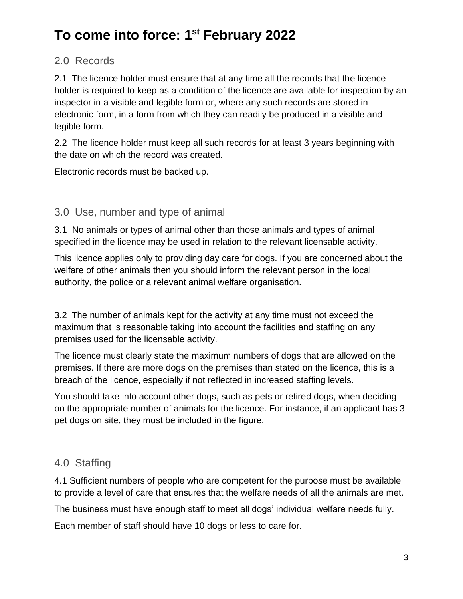#### 2.0 Records

2.1 The licence holder must ensure that at any time all the records that the licence holder is required to keep as a condition of the licence are available for inspection by an inspector in a visible and legible form or, where any such records are stored in electronic form, in a form from which they can readily be produced in a visible and legible form.

2.2 The licence holder must keep all such records for at least 3 years beginning with the date on which the record was created.

Electronic records must be backed up.

#### 3.0 Use, number and type of animal

3.1 No animals or types of animal other than those animals and types of animal specified in the licence may be used in relation to the relevant licensable activity.

This licence applies only to providing day care for dogs. If you are concerned about the welfare of other animals then you should inform the relevant person in the local authority, the police or a relevant animal welfare organisation.

3.2 The number of animals kept for the activity at any time must not exceed the maximum that is reasonable taking into account the facilities and staffing on any premises used for the licensable activity.

The licence must clearly state the maximum numbers of dogs that are allowed on the premises. If there are more dogs on the premises than stated on the licence, this is a breach of the licence, especially if not reflected in increased staffing levels.

You should take into account other dogs, such as pets or retired dogs, when deciding on the appropriate number of animals for the licence. For instance, if an applicant has 3 pet dogs on site, they must be included in the figure.

#### 4.0 Staffing

4.1 Sufficient numbers of people who are competent for the purpose must be available to provide a level of care that ensures that the welfare needs of all the animals are met.

The business must have enough staff to meet all dogs' individual welfare needs fully.

Each member of staff should have 10 dogs or less to care for.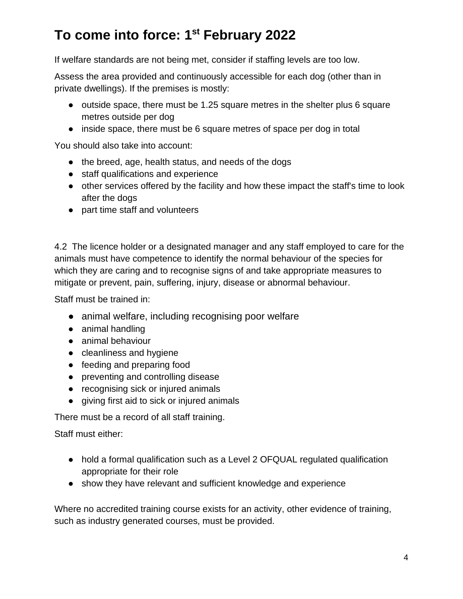If welfare standards are not being met, consider if staffing levels are too low.

Assess the area provided and continuously accessible for each dog (other than in private dwellings). If the premises is mostly:

- outside space, there must be 1.25 square metres in the shelter plus 6 square metres outside per dog
- inside space, there must be 6 square metres of space per dog in total

You should also take into account:

- the breed, age, health status, and needs of the dogs
- staff qualifications and experience
- other services offered by the facility and how these impact the staff's time to look after the dogs
- part time staff and volunteers

4.2 The licence holder or a designated manager and any staff employed to care for the animals must have competence to identify the normal behaviour of the species for which they are caring and to recognise signs of and take appropriate measures to mitigate or prevent, pain, suffering, injury, disease or abnormal behaviour.

Staff must be trained in:

- animal welfare, including recognising poor welfare
- animal handling
- animal behaviour
- cleanliness and hygiene
- feeding and preparing food
- preventing and controlling disease
- recognising sick or injured animals
- giving first aid to sick or injured animals

There must be a record of all staff training.

Staff must either:

- hold a formal qualification such as a Level 2 OFQUAL regulated qualification appropriate for their role
- show they have relevant and sufficient knowledge and experience

Where no accredited training course exists for an activity, other evidence of training, such as industry generated courses, must be provided.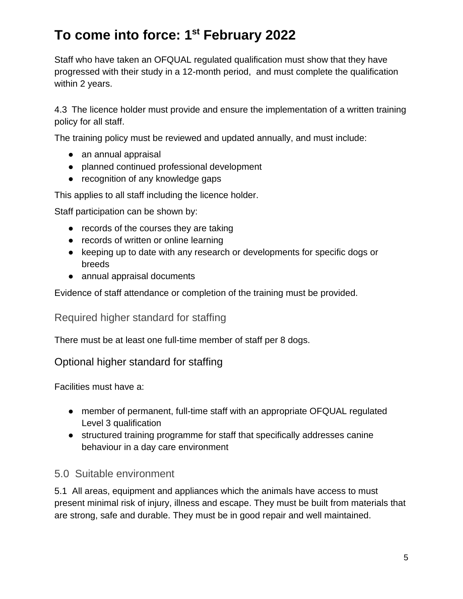Staff who have taken an OFQUAL regulated qualification must show that they have progressed with their study in a 12-month period, and must complete the qualification within 2 years.

4.3 The licence holder must provide and ensure the implementation of a written training policy for all staff.

The training policy must be reviewed and updated annually, and must include:

- an annual appraisal
- planned continued professional development
- recognition of any knowledge gaps

This applies to all staff including the licence holder.

Staff participation can be shown by:

- records of the courses they are taking
- records of written or online learning
- keeping up to date with any research or developments for specific dogs or breeds
- annual appraisal documents

Evidence of staff attendance or completion of the training must be provided.

Required higher standard for staffing

There must be at least one full-time member of staff per 8 dogs.

#### Optional higher standard for staffing

Facilities must have a:

- member of permanent, full-time staff with an appropriate OFQUAL regulated Level 3 qualification
- structured training programme for staff that specifically addresses canine behaviour in a day care environment

#### 5.0 Suitable environment

5.1 All areas, equipment and appliances which the animals have access to must present minimal risk of injury, illness and escape. They must be built from materials that are strong, safe and durable. They must be in good repair and well maintained.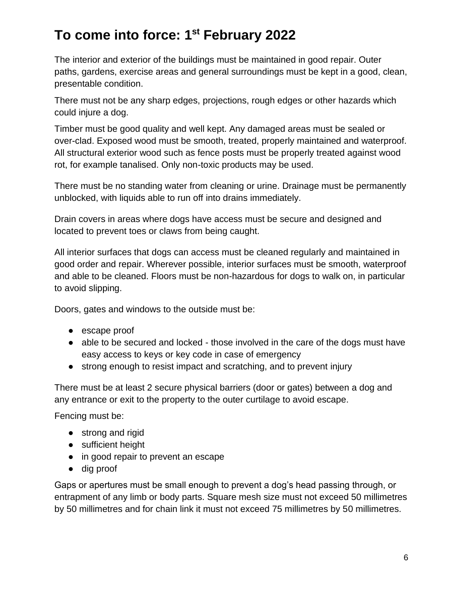The interior and exterior of the buildings must be maintained in good repair. Outer paths, gardens, exercise areas and general surroundings must be kept in a good, clean, presentable condition.

There must not be any sharp edges, projections, rough edges or other hazards which could injure a dog.

Timber must be good quality and well kept. Any damaged areas must be sealed or over-clad. Exposed wood must be smooth, treated, properly maintained and waterproof. All structural exterior wood such as fence posts must be properly treated against wood rot, for example tanalised. Only non-toxic products may be used.

There must be no standing water from cleaning or urine. Drainage must be permanently unblocked, with liquids able to run off into drains immediately.

Drain covers in areas where dogs have access must be secure and designed and located to prevent toes or claws from being caught.

All interior surfaces that dogs can access must be cleaned regularly and maintained in good order and repair. Wherever possible, interior surfaces must be smooth, waterproof and able to be cleaned. Floors must be non-hazardous for dogs to walk on, in particular to avoid slipping.

Doors, gates and windows to the outside must be:

- escape proof
- able to be secured and locked those involved in the care of the dogs must have easy access to keys or key code in case of emergency
- strong enough to resist impact and scratching, and to prevent injury

There must be at least 2 secure physical barriers (door or gates) between a dog and any entrance or exit to the property to the outer curtilage to avoid escape.

Fencing must be:

- strong and rigid
- sufficient height
- in good repair to prevent an escape
- dig proof

Gaps or apertures must be small enough to prevent a dog's head passing through, or entrapment of any limb or body parts. Square mesh size must not exceed 50 millimetres by 50 millimetres and for chain link it must not exceed 75 millimetres by 50 millimetres.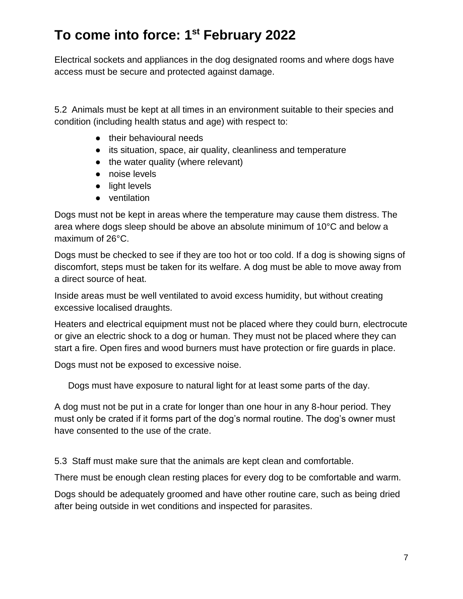Electrical sockets and appliances in the dog designated rooms and where dogs have access must be secure and protected against damage.

5.2 Animals must be kept at all times in an environment suitable to their species and condition (including health status and age) with respect to:

- their behavioural needs
- its situation, space, air quality, cleanliness and temperature
- the water quality (where relevant)
- noise levels
- light levels
- ventilation

Dogs must not be kept in areas where the temperature may cause them distress. The area where dogs sleep should be above an absolute minimum of 10°C and below a maximum of 26°C.

Dogs must be checked to see if they are too hot or too cold. If a dog is showing signs of discomfort, steps must be taken for its welfare. A dog must be able to move away from a direct source of heat.

Inside areas must be well ventilated to avoid excess humidity, but without creating excessive localised draughts.

Heaters and electrical equipment must not be placed where they could burn, electrocute or give an electric shock to a dog or human. They must not be placed where they can start a fire. Open fires and wood burners must have protection or fire guards in place.

Dogs must not be exposed to excessive noise.

Dogs must have exposure to natural light for at least some parts of the day.

A dog must not be put in a crate for longer than one hour in any 8-hour period. They must only be crated if it forms part of the dog's normal routine. The dog's owner must have consented to the use of the crate.

5.3 Staff must make sure that the animals are kept clean and comfortable.

There must be enough clean resting places for every dog to be comfortable and warm.

Dogs should be adequately groomed and have other routine care, such as being dried after being outside in wet conditions and inspected for parasites.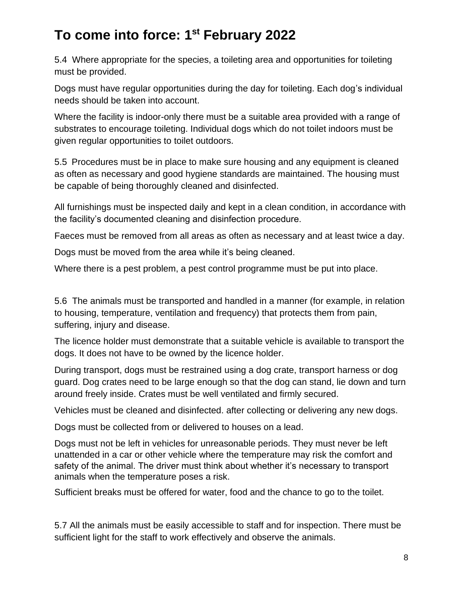5.4 Where appropriate for the species, a toileting area and opportunities for toileting must be provided.

Dogs must have regular opportunities during the day for toileting. Each dog's individual needs should be taken into account.

Where the facility is indoor-only there must be a suitable area provided with a range of substrates to encourage toileting. Individual dogs which do not toilet indoors must be given regular opportunities to toilet outdoors.

5.5 Procedures must be in place to make sure housing and any equipment is cleaned as often as necessary and good hygiene standards are maintained. The housing must be capable of being thoroughly cleaned and disinfected.

All furnishings must be inspected daily and kept in a clean condition, in accordance with the facility's documented cleaning and disinfection procedure.

Faeces must be removed from all areas as often as necessary and at least twice a day.

Dogs must be moved from the area while it's being cleaned.

Where there is a pest problem, a pest control programme must be put into place.

5.6 The animals must be transported and handled in a manner (for example, in relation to housing, temperature, ventilation and frequency) that protects them from pain, suffering, injury and disease.

The licence holder must demonstrate that a suitable vehicle is available to transport the dogs. It does not have to be owned by the licence holder.

During transport, dogs must be restrained using a dog crate, transport harness or dog guard. Dog crates need to be large enough so that the dog can stand, lie down and turn around freely inside. Crates must be well ventilated and firmly secured.

Vehicles must be cleaned and disinfected. after collecting or delivering any new dogs.

Dogs must be collected from or delivered to houses on a lead.

Dogs must not be left in vehicles for unreasonable periods. They must never be left unattended in a car or other vehicle where the temperature may risk the comfort and safety of the animal. The driver must think about whether it's necessary to transport animals when the temperature poses a risk.

Sufficient breaks must be offered for water, food and the chance to go to the toilet.

5.7 All the animals must be easily accessible to staff and for inspection. There must be sufficient light for the staff to work effectively and observe the animals.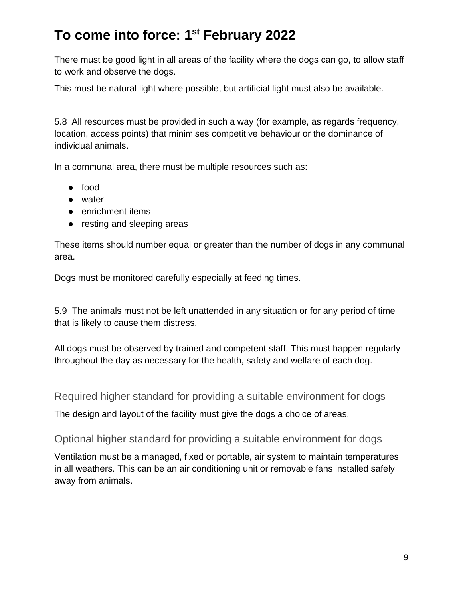There must be good light in all areas of the facility where the dogs can go, to allow staff to work and observe the dogs.

This must be natural light where possible, but artificial light must also be available.

5.8 All resources must be provided in such a way (for example, as regards frequency, location, access points) that minimises competitive behaviour or the dominance of individual animals.

In a communal area, there must be multiple resources such as:

- food
- water
- enrichment items
- resting and sleeping areas

These items should number equal or greater than the number of dogs in any communal area.

Dogs must be monitored carefully especially at feeding times.

5.9 The animals must not be left unattended in any situation or for any period of time that is likely to cause them distress.

All dogs must be observed by trained and competent staff. This must happen regularly throughout the day as necessary for the health, safety and welfare of each dog.

Required higher standard for providing a suitable environment for dogs

The design and layout of the facility must give the dogs a choice of areas.

Optional higher standard for providing a suitable environment for dogs

Ventilation must be a managed, fixed or portable, air system to maintain temperatures in all weathers. This can be an air conditioning unit or removable fans installed safely away from animals.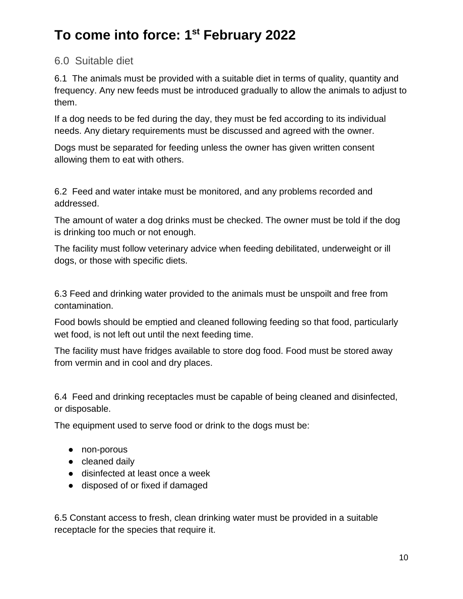#### 6.0 Suitable diet

6.1 The animals must be provided with a suitable diet in terms of quality, quantity and frequency. Any new feeds must be introduced gradually to allow the animals to adjust to them.

If a dog needs to be fed during the day, they must be fed according to its individual needs. Any dietary requirements must be discussed and agreed with the owner.

Dogs must be separated for feeding unless the owner has given written consent allowing them to eat with others.

6.2 Feed and water intake must be monitored, and any problems recorded and addressed.

The amount of water a dog drinks must be checked. The owner must be told if the dog is drinking too much or not enough.

The facility must follow veterinary advice when feeding debilitated, underweight or ill dogs, or those with specific diets.

6.3 Feed and drinking water provided to the animals must be unspoilt and free from contamination.

Food bowls should be emptied and cleaned following feeding so that food, particularly wet food, is not left out until the next feeding time.

The facility must have fridges available to store dog food. Food must be stored away from vermin and in cool and dry places.

6.4 Feed and drinking receptacles must be capable of being cleaned and disinfected, or disposable.

The equipment used to serve food or drink to the dogs must be:

- non-porous
- cleaned daily
- disinfected at least once a week
- disposed of or fixed if damaged

6.5 Constant access to fresh, clean drinking water must be provided in a suitable receptacle for the species that require it.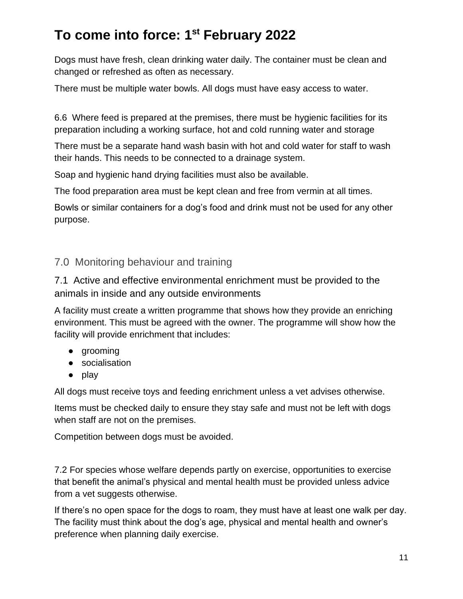Dogs must have fresh, clean drinking water daily. The container must be clean and changed or refreshed as often as necessary.

There must be multiple water bowls. All dogs must have easy access to water.

6.6 Where feed is prepared at the premises, there must be hygienic facilities for its preparation including a working surface, hot and cold running water and storage

There must be a separate hand wash basin with hot and cold water for staff to wash their hands. This needs to be connected to a drainage system.

Soap and hygienic hand drying facilities must also be available.

The food preparation area must be kept clean and free from vermin at all times.

Bowls or similar containers for a dog's food and drink must not be used for any other purpose.

#### 7.0 Monitoring behaviour and training

7.1 Active and effective environmental enrichment must be provided to the animals in inside and any outside environments

A facility must create a written programme that shows how they provide an enriching environment. This must be agreed with the owner. The programme will show how the facility will provide enrichment that includes:

- grooming
- socialisation
- play

All dogs must receive toys and feeding enrichment unless a vet advises otherwise.

Items must be checked daily to ensure they stay safe and must not be left with dogs when staff are not on the premises.

Competition between dogs must be avoided.

7.2 For species whose welfare depends partly on exercise, opportunities to exercise that benefit the animal's physical and mental health must be provided unless advice from a vet suggests otherwise.

If there's no open space for the dogs to roam, they must have at least one walk per day. The facility must think about the dog's age, physical and mental health and owner's preference when planning daily exercise.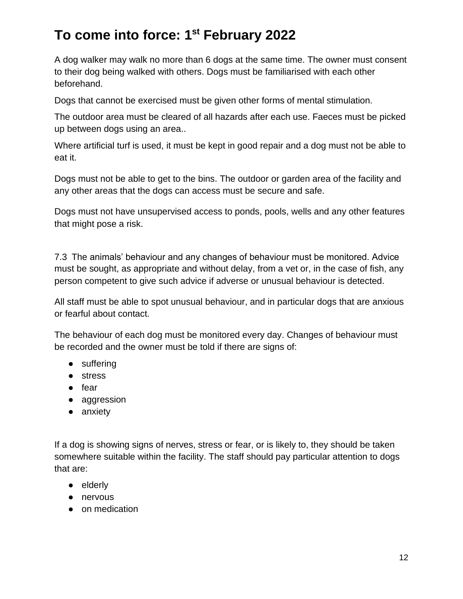A dog walker may walk no more than 6 dogs at the same time. The owner must consent to their dog being walked with others. Dogs must be familiarised with each other beforehand.

Dogs that cannot be exercised must be given other forms of mental stimulation.

The outdoor area must be cleared of all hazards after each use. Faeces must be picked up between dogs using an area..

Where artificial turf is used, it must be kept in good repair and a dog must not be able to eat it.

Dogs must not be able to get to the bins. The outdoor or garden area of the facility and any other areas that the dogs can access must be secure and safe.

Dogs must not have unsupervised access to ponds, pools, wells and any other features that might pose a risk.

7.3 The animals' behaviour and any changes of behaviour must be monitored. Advice must be sought, as appropriate and without delay, from a vet or, in the case of fish, any person competent to give such advice if adverse or unusual behaviour is detected.

All staff must be able to spot unusual behaviour, and in particular dogs that are anxious or fearful about contact.

The behaviour of each dog must be monitored every day. Changes of behaviour must be recorded and the owner must be told if there are signs of:

- suffering
- stress
- fear
- aggression
- anxiety

If a dog is showing signs of nerves, stress or fear, or is likely to, they should be taken somewhere suitable within the facility. The staff should pay particular attention to dogs that are:

- elderly
- nervous
- on medication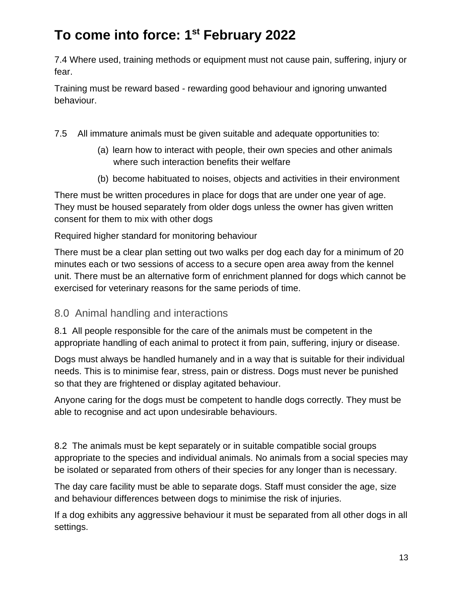7.4 Where used, training methods or equipment must not cause pain, suffering, injury or fear.

Training must be reward based - rewarding good behaviour and ignoring unwanted behaviour.

- 7.5 All immature animals must be given suitable and adequate opportunities to:
	- (a) learn how to interact with people, their own species and other animals where such interaction benefits their welfare
	- (b) become habituated to noises, objects and activities in their environment

There must be written procedures in place for dogs that are under one year of age. They must be housed separately from older dogs unless the owner has given written consent for them to mix with other dogs

Required higher standard for monitoring behaviour

There must be a clear plan setting out two walks per dog each day for a minimum of 20 minutes each or two sessions of access to a secure open area away from the kennel unit. There must be an alternative form of enrichment planned for dogs which cannot be exercised for veterinary reasons for the same periods of time.

#### 8.0 Animal handling and interactions

8.1 All people responsible for the care of the animals must be competent in the appropriate handling of each animal to protect it from pain, suffering, injury or disease.

Dogs must always be handled humanely and in a way that is suitable for their individual needs. This is to minimise fear, stress, pain or distress. Dogs must never be punished so that they are frightened or display agitated behaviour.

Anyone caring for the dogs must be competent to handle dogs correctly. They must be able to recognise and act upon undesirable behaviours.

8.2 The animals must be kept separately or in suitable compatible social groups appropriate to the species and individual animals. No animals from a social species may be isolated or separated from others of their species for any longer than is necessary.

The day care facility must be able to separate dogs. Staff must consider the age, size and behaviour differences between dogs to minimise the risk of injuries.

If a dog exhibits any aggressive behaviour it must be separated from all other dogs in all settings.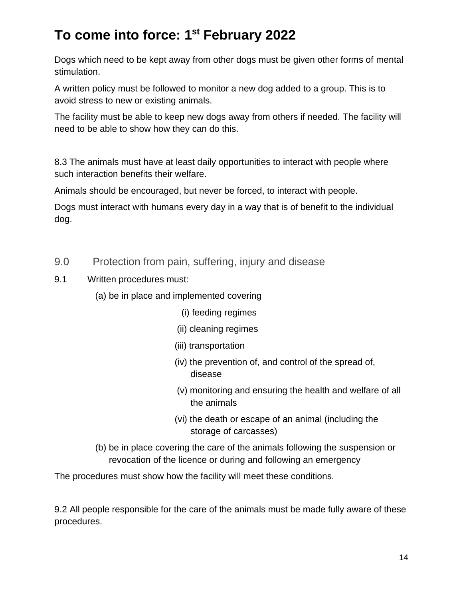Dogs which need to be kept away from other dogs must be given other forms of mental stimulation.

A written policy must be followed to monitor a new dog added to a group. This is to avoid stress to new or existing animals.

The facility must be able to keep new dogs away from others if needed. The facility will need to be able to show how they can do this.

8.3 The animals must have at least daily opportunities to interact with people where such interaction benefits their welfare.

Animals should be encouraged, but never be forced, to interact with people.

Dogs must interact with humans every day in a way that is of benefit to the individual dog.

- 9.0 Protection from pain, suffering, injury and disease
- 9.1 Written procedures must:
	- (a) be in place and implemented covering
		- (i) feeding regimes
		- (ii) cleaning regimes
		- (iii) transportation
		- (iv) the prevention of, and control of the spread of, disease
		- (v) monitoring and ensuring the health and welfare of all the animals
		- (vi) the death or escape of an animal (including the storage of carcasses)
	- (b) be in place covering the care of the animals following the suspension or revocation of the licence or during and following an emergency

The procedures must show how the facility will meet these conditions.

9.2 All people responsible for the care of the animals must be made fully aware of these procedures.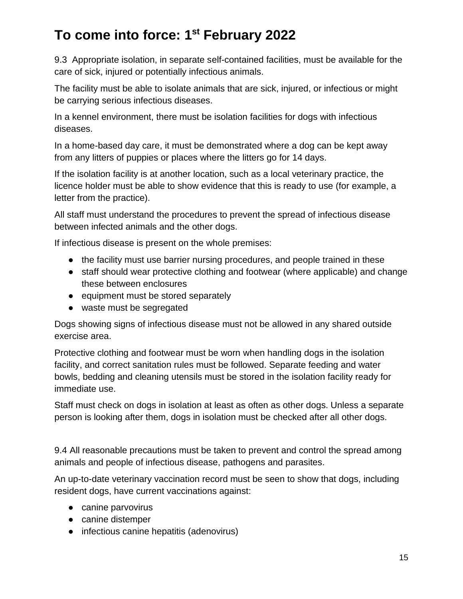9.3 Appropriate isolation, in separate self-contained facilities, must be available for the care of sick, injured or potentially infectious animals.

The facility must be able to isolate animals that are sick, injured, or infectious or might be carrying serious infectious diseases.

In a kennel environment, there must be isolation facilities for dogs with infectious diseases.

In a home-based day care, it must be demonstrated where a dog can be kept away from any litters of puppies or places where the litters go for 14 days.

If the isolation facility is at another location, such as a local veterinary practice, the licence holder must be able to show evidence that this is ready to use (for example, a letter from the practice).

All staff must understand the procedures to prevent the spread of infectious disease between infected animals and the other dogs.

If infectious disease is present on the whole premises:

- the facility must use barrier nursing procedures, and people trained in these
- staff should wear protective clothing and footwear (where applicable) and change these between enclosures
- equipment must be stored separately
- waste must be segregated

Dogs showing signs of infectious disease must not be allowed in any shared outside exercise area.

Protective clothing and footwear must be worn when handling dogs in the isolation facility, and correct sanitation rules must be followed. Separate feeding and water bowls, bedding and cleaning utensils must be stored in the isolation facility ready for immediate use.

Staff must check on dogs in isolation at least as often as other dogs. Unless a separate person is looking after them, dogs in isolation must be checked after all other dogs.

9.4 All reasonable precautions must be taken to prevent and control the spread among animals and people of infectious disease, pathogens and parasites.

An up-to-date veterinary vaccination record must be seen to show that dogs, including resident dogs, have current vaccinations against:

- canine parvovirus
- canine distemper
- infectious canine hepatitis (adenovirus)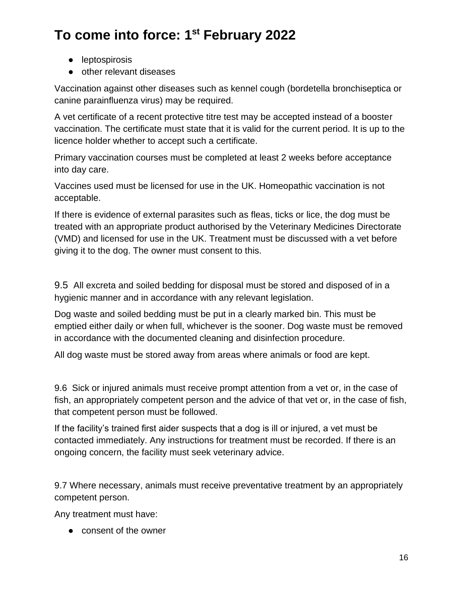- leptospirosis
- other relevant diseases

Vaccination against other diseases such as kennel cough (bordetella bronchiseptica or canine parainfluenza virus) may be required.

A vet certificate of a recent protective titre test may be accepted instead of a booster vaccination. The certificate must state that it is valid for the current period. It is up to the licence holder whether to accept such a certificate.

Primary vaccination courses must be completed at least 2 weeks before acceptance into day care.

Vaccines used must be licensed for use in the UK. Homeopathic vaccination is not acceptable.

If there is evidence of external parasites such as fleas, ticks or lice, the dog must be treated with an appropriate product authorised by the Veterinary Medicines Directorate (VMD) and licensed for use in the UK. Treatment must be discussed with a vet before giving it to the dog. The owner must consent to this.

9.5 All excreta and soiled bedding for disposal must be stored and disposed of in a hygienic manner and in accordance with any relevant legislation.

Dog waste and soiled bedding must be put in a clearly marked bin. This must be emptied either daily or when full, whichever is the sooner. Dog waste must be removed in accordance with the documented cleaning and disinfection procedure.

All dog waste must be stored away from areas where animals or food are kept.

9.6 Sick or injured animals must receive prompt attention from a vet or, in the case of fish, an appropriately competent person and the advice of that vet or, in the case of fish, that competent person must be followed.

If the facility's trained first aider suspects that a dog is ill or injured, a vet must be contacted immediately. Any instructions for treatment must be recorded. If there is an ongoing concern, the facility must seek veterinary advice.

9.7 Where necessary, animals must receive preventative treatment by an appropriately competent person.

Any treatment must have:

● consent of the owner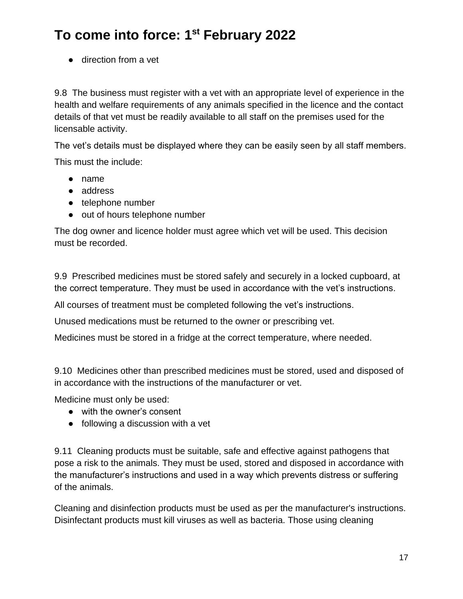● direction from a vet

9.8 The business must register with a vet with an appropriate level of experience in the health and welfare requirements of any animals specified in the licence and the contact details of that vet must be readily available to all staff on the premises used for the licensable activity.

The vet's details must be displayed where they can be easily seen by all staff members.

This must the include:

- name
- address
- telephone number
- out of hours telephone number

The dog owner and licence holder must agree which vet will be used. This decision must be recorded.

9.9 Prescribed medicines must be stored safely and securely in a locked cupboard, at the correct temperature. They must be used in accordance with the vet's instructions.

All courses of treatment must be completed following the vet's instructions.

Unused medications must be returned to the owner or prescribing vet.

Medicines must be stored in a fridge at the correct temperature, where needed.

9.10 Medicines other than prescribed medicines must be stored, used and disposed of in accordance with the instructions of the manufacturer or vet.

Medicine must only be used:

- with the owner's consent
- following a discussion with a vet

9.11 Cleaning products must be suitable, safe and effective against pathogens that pose a risk to the animals. They must be used, stored and disposed in accordance with the manufacturer's instructions and used in a way which prevents distress or suffering of the animals.

Cleaning and disinfection products must be used as per the manufacturer's instructions. Disinfectant products must kill viruses as well as bacteria. Those using cleaning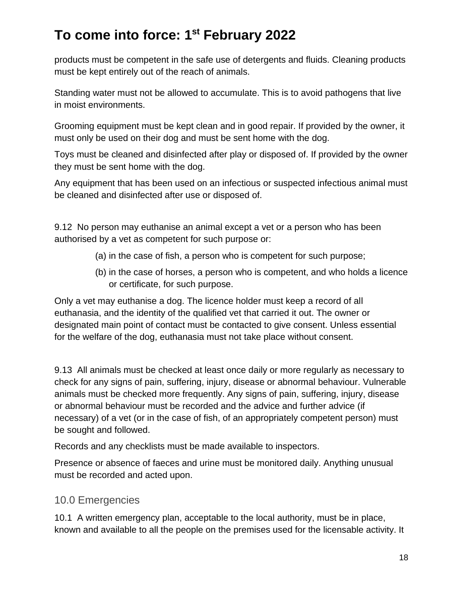products must be competent in the safe use of detergents and fluids. Cleaning products must be kept entirely out of the reach of animals.

Standing water must not be allowed to accumulate. This is to avoid pathogens that live in moist environments.

Grooming equipment must be kept clean and in good repair. If provided by the owner, it must only be used on their dog and must be sent home with the dog.

Toys must be cleaned and disinfected after play or disposed of. If provided by the owner they must be sent home with the dog.

Any equipment that has been used on an infectious or suspected infectious animal must be cleaned and disinfected after use or disposed of.

9.12 No person may euthanise an animal except a vet or a person who has been authorised by a vet as competent for such purpose or:

- (a) in the case of fish, a person who is competent for such purpose;
- (b) in the case of horses, a person who is competent, and who holds a licence or certificate, for such purpose.

Only a vet may euthanise a dog. The licence holder must keep a record of all euthanasia, and the identity of the qualified vet that carried it out. The owner or designated main point of contact must be contacted to give consent. Unless essential for the welfare of the dog, euthanasia must not take place without consent.

9.13 All animals must be checked at least once daily or more regularly as necessary to check for any signs of pain, suffering, injury, disease or abnormal behaviour. Vulnerable animals must be checked more frequently. Any signs of pain, suffering, injury, disease or abnormal behaviour must be recorded and the advice and further advice (if necessary) of a vet (or in the case of fish, of an appropriately competent person) must be sought and followed.

Records and any checklists must be made available to inspectors.

Presence or absence of faeces and urine must be monitored daily. Anything unusual must be recorded and acted upon.

#### 10.0 Emergencies

10.1 A written emergency plan, acceptable to the local authority, must be in place, known and available to all the people on the premises used for the licensable activity. It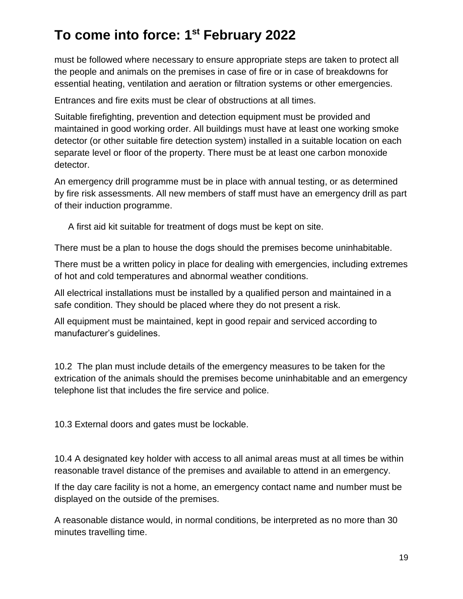must be followed where necessary to ensure appropriate steps are taken to protect all the people and animals on the premises in case of fire or in case of breakdowns for essential heating, ventilation and aeration or filtration systems or other emergencies.

Entrances and fire exits must be clear of obstructions at all times.

Suitable firefighting, prevention and detection equipment must be provided and maintained in good working order. All buildings must have at least one working smoke detector (or other suitable fire detection system) installed in a suitable location on each separate level or floor of the property. There must be at least one carbon monoxide detector.

An emergency drill programme must be in place with annual testing, or as determined by fire risk assessments. All new members of staff must have an emergency drill as part of their induction programme.

A first aid kit suitable for treatment of dogs must be kept on site.

There must be a plan to house the dogs should the premises become uninhabitable.

There must be a written policy in place for dealing with emergencies, including extremes of hot and cold temperatures and abnormal weather conditions.

All electrical installations must be installed by a qualified person and maintained in a safe condition. They should be placed where they do not present a risk.

All equipment must be maintained, kept in good repair and serviced according to manufacturer's guidelines.

10.2 The plan must include details of the emergency measures to be taken for the extrication of the animals should the premises become uninhabitable and an emergency telephone list that includes the fire service and police.

10.3 External doors and gates must be lockable.

10.4 A designated key holder with access to all animal areas must at all times be within reasonable travel distance of the premises and available to attend in an emergency.

If the day care facility is not a home, an emergency contact name and number must be displayed on the outside of the premises.

A reasonable distance would, in normal conditions, be interpreted as no more than 30 minutes travelling time.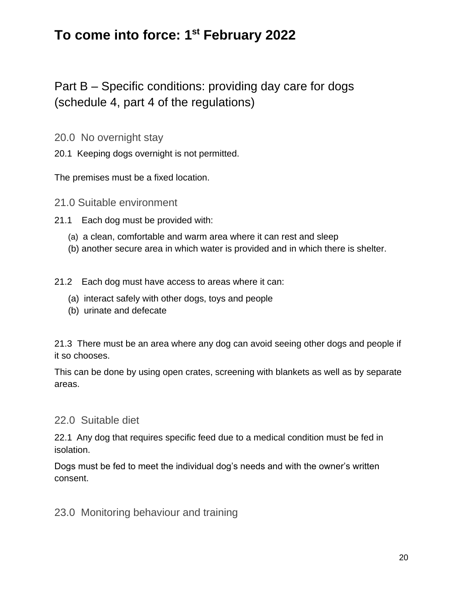Part B – Specific conditions: providing day care for dogs (schedule 4, part 4 of the regulations)

20.0 No overnight stay

20.1 Keeping dogs overnight is not permitted.

The premises must be a fixed location.

- 21.0 Suitable environment
- 21.1 Each dog must be provided with:
	- (a) a clean, comfortable and warm area where it can rest and sleep
	- (b) another secure area in which water is provided and in which there is shelter.
- 21.2 Each dog must have access to areas where it can:
	- (a) interact safely with other dogs, toys and people
	- (b) urinate and defecate

21.3 There must be an area where any dog can avoid seeing other dogs and people if it so chooses.

This can be done by using open crates, screening with blankets as well as by separate areas.

#### 22.0 Suitable diet

22.1 Any dog that requires specific feed due to a medical condition must be fed in isolation.

Dogs must be fed to meet the individual dog's needs and with the owner's written consent.

#### 23.0 Monitoring behaviour and training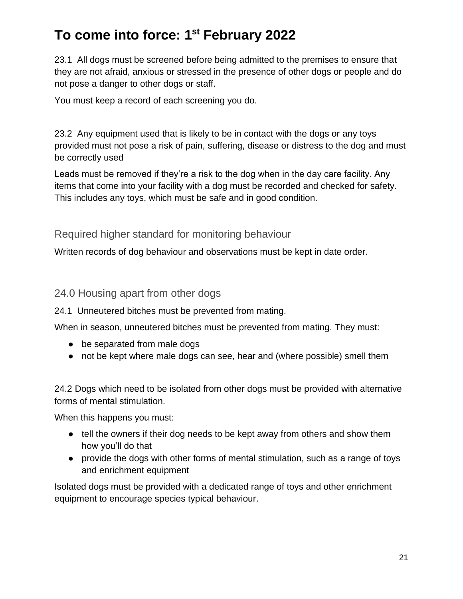23.1 All dogs must be screened before being admitted to the premises to ensure that they are not afraid, anxious or stressed in the presence of other dogs or people and do not pose a danger to other dogs or staff.

You must keep a record of each screening you do.

23.2 Any equipment used that is likely to be in contact with the dogs or any toys provided must not pose a risk of pain, suffering, disease or distress to the dog and must be correctly used

Leads must be removed if they're a risk to the dog when in the day care facility. Any items that come into your facility with a dog must be recorded and checked for safety. This includes any toys, which must be safe and in good condition.

Required higher standard for monitoring behaviour

Written records of dog behaviour and observations must be kept in date order.

24.0 Housing apart from other dogs

24.1 Unneutered bitches must be prevented from mating.

When in season, unneutered bitches must be prevented from mating. They must:

- be separated from male dogs
- not be kept where male dogs can see, hear and (where possible) smell them

24.2 Dogs which need to be isolated from other dogs must be provided with alternative forms of mental stimulation.

When this happens you must:

- tell the owners if their dog needs to be kept away from others and show them how you'll do that
- provide the dogs with other forms of mental stimulation, such as a range of toys and enrichment equipment

Isolated dogs must be provided with a dedicated range of toys and other enrichment equipment to encourage species typical behaviour.